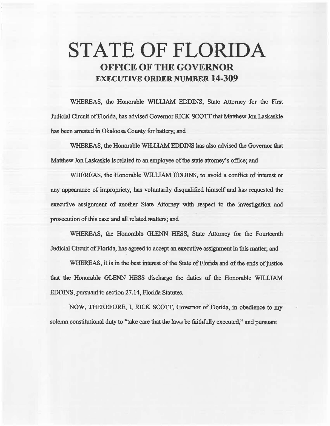# STATE OF FLORIDA OFFICE OF THE GOVERNOR EXECUTIVE ORDER NUMBER 14-309

WHEREAS, the Honorable WILLIAM EDDINS, State Attorney for the First Judicial Circuit of Florida, has advised Governor RICK SCOTT that Matthew Jon Laskaskie has been arrested in Okaloosa County for battery; and

WHEREAS, the Honorable WJLLIAM EDDINS has also advised the Governor that Matthew Jon Laskaskie is related to an employee of the state attorney's office; and

WHEREAS, the Honorable WILLIAM EDDINS, to avoid a conflict of interest or any appearance of impropriety, has voluntarily disqualified himself and has requested the executive assignment of another State Attorney with respect to the investigation and prosecution of this case and all related matters; and

WHEREAS, the Honorable GLENN HESS, State Attorney for the Fourteenth fadicial Circwt of Florida, has agreed to accept an executive assignment in this matter; and

WHEREAS, it is in the best interest of the State of Florida and of the ends of justice that the Honorable GLENN HESS discharge the duties of the Honorable WILLIAM EDDINS, pursuant to section 27 .14, Florida Statutes.

NOW, THEREFORE, I, RICK SCOTI, Governor of Florida, in obedience to my solemn constitutional duty to "take care that the laws be faithfully executed," and pursuant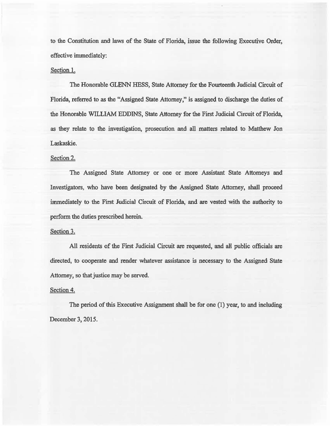to the Constitution and laws of the State of Florida, issue the following Executive Order, effective immediately:

## Section 1.

The Honorable GLENN HESS, State Attorney for the Fourteenth Judicial Circuit of Florida, referred to as the "Assigned State Attorney," is assigned to discharge the duties of the Honorable WILLIAM EDDINS, State Attorney for the First Judicial Circuit of Florida, as they relate to the investigation, prosecution and all matters related to Matthew Jon Laskaskie.

## Section 2.

The Assigned State Attorney or one or more Assistant State Attorneys and Investigators, who have been desigaated by the Assigned State Attorney, shall proceed immediately to the First Judicial Circuit of Florida, and are vested with the authority to perfonn the duties prescribed herein.

### Section 3.

All resideats of the First Judicial Circuit are requested, and all public officials are directed, to cooperate and render whatever assistance is necessary to the Assigned State Attorney, so that justice may be served.

### Section 4.

The period of this Executive Assignment shall be for one (1) year, to and including December 3, 2015.